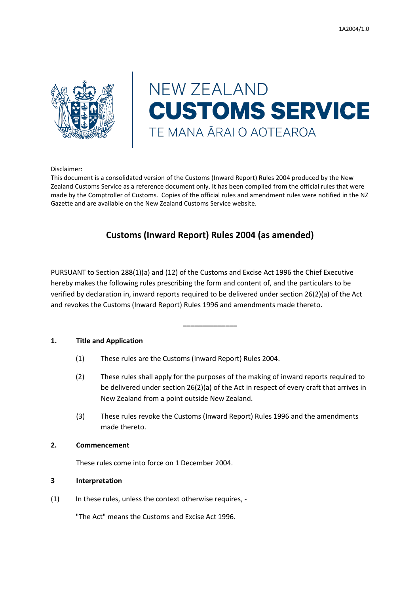

# **NEW ZEALAND CUSTOMS SERVICE** TE MANA ĀRAI O AOTEAROA

Disclaimer:

This document is a consolidated version of the Customs (Inward Report) Rules 2004 produced by the New Zealand Customs Service as a reference document only. It has been compiled from the official rules that were made by the Comptroller of Customs. Copies of the official rules and amendment rules were notified in the NZ Gazette and are available on the New Zealand Customs Service website.

# **Customs (Inward Report) Rules 2004 (as amended)**

PURSUANT to Section 288(1)(a) and (12) of the Customs and Excise Act 1996 the Chief Executive hereby makes the following rules prescribing the form and content of, and the particulars to be verified by declaration in, inward reports required to be delivered under section 26(2)(a) of the Act and revokes the Customs (Inward Report) Rules 1996 and amendments made thereto.

**\_\_\_\_\_\_\_\_\_\_\_\_\_\_**

## **1. Title and Application**

- (1) These rules are the Customs (Inward Report) Rules 2004.
- (2) These rules shall apply for the purposes of the making of inward reports required to be delivered under section 26(2)(a) of the Act in respect of every craft that arrives in New Zealand from a point outside New Zealand.
- (3) These rules revoke the Customs (Inward Report) Rules 1996 and the amendments made thereto.

# **2. Commencement**

These rules come into force on 1 December 2004.

## **3 Interpretation**

(1) In these rules, unless the context otherwise requires, -

"The Act" means the Customs and Excise Act 1996.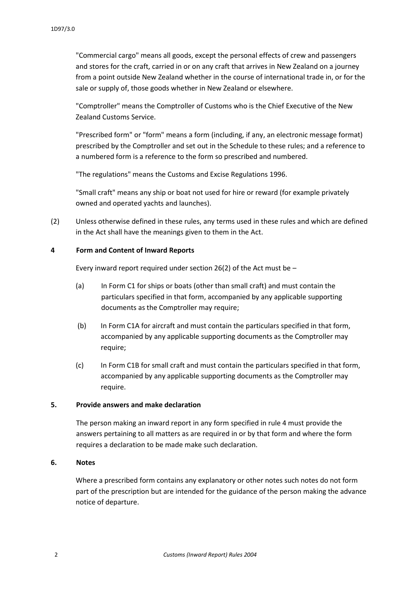"Commercial cargo" means all goods, except the personal effects of crew and passengers and stores for the craft, carried in or on any craft that arrives in New Zealand on a journey from a point outside New Zealand whether in the course of international trade in, or for the sale or supply of, those goods whether in New Zealand or elsewhere.

"Comptroller" means the Comptroller of Customs who is the Chief Executive of the New Zealand Customs Service.

"Prescribed form" or "form" means a form (including, if any, an electronic message format) prescribed by the Comptroller and set out in the Schedule to these rules; and a reference to a numbered form is a reference to the form so prescribed and numbered.

"The regulations" means the Customs and Excise Regulations 1996.

"Small craft" means any ship or boat not used for hire or reward (for example privately owned and operated yachts and launches).

(2) Unless otherwise defined in these rules, any terms used in these rules and which are defined in the Act shall have the meanings given to them in the Act.

## **4 Form and Content of Inward Reports**

Every inward report required under section 26(2) of the Act must be  $-$ 

- (a) In Form C1 for ships or boats (other than small craft) and must contain the particulars specified in that form, accompanied by any applicable supporting documents as the Comptroller may require;
- (b) In Form C1A for aircraft and must contain the particulars specified in that form, accompanied by any applicable supporting documents as the Comptroller may require;
- (c) In Form C1B for small craft and must contain the particulars specified in that form, accompanied by any applicable supporting documents as the Comptroller may require.

#### **5. Provide answers and make declaration**

The person making an inward report in any form specified in rule 4 must provide the answers pertaining to all matters as are required in or by that form and where the form requires a declaration to be made make such declaration.

#### **6. Notes**

Where a prescribed form contains any explanatory or other notes such notes do not form part of the prescription but are intended for the guidance of the person making the advance notice of departure.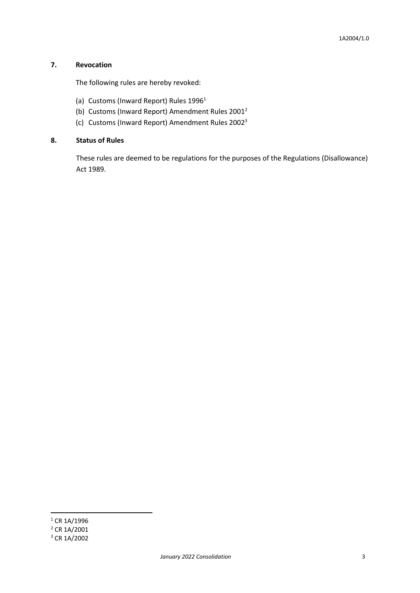# **7. Revocation**

The following rules are hereby revoked:

- (a) Customs (Inward Report) Rules 1996<sup>1</sup>
- (b) Customs (Inward Report) Amendment Rules 2001<sup>2</sup>
- (c) Customs (Inward Report) Amendment Rules 2002<sup>3</sup>

# **8. Status of Rules**

These rules are deemed to be regulations for the purposes of the Regulations (Disallowance) Act 1989.

**.** 

 $1$  CR 1A/1996

 $^{2}$  CR 1A/2001

<sup>3</sup> CR 1A/2002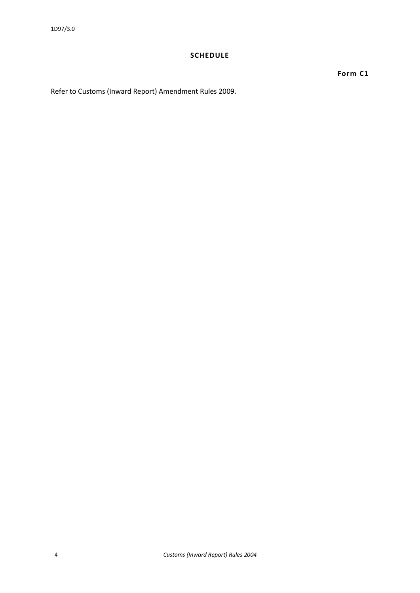# **SCHEDULE**

**Form C1**

Refer to Customs (Inward Report) Amendment Rules 2009.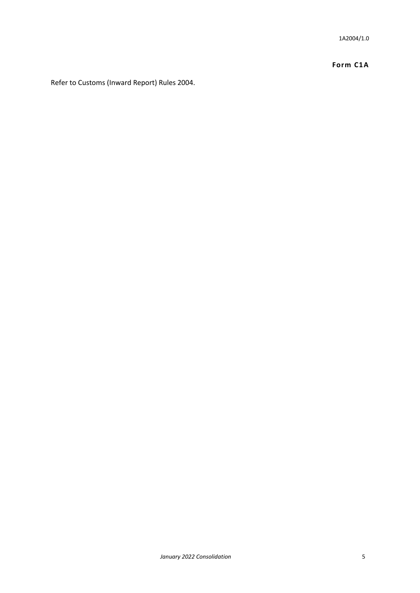1A2004/1.0

**Form C1A**

Refer to Customs (Inward Report) Rules 2004.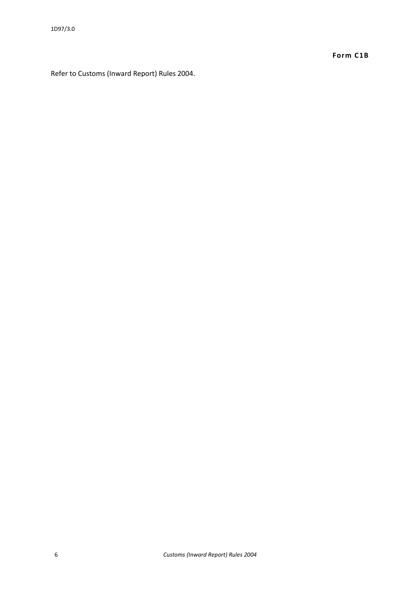**Form C1B**

Refer to Customs (Inward Report) Rules 2004.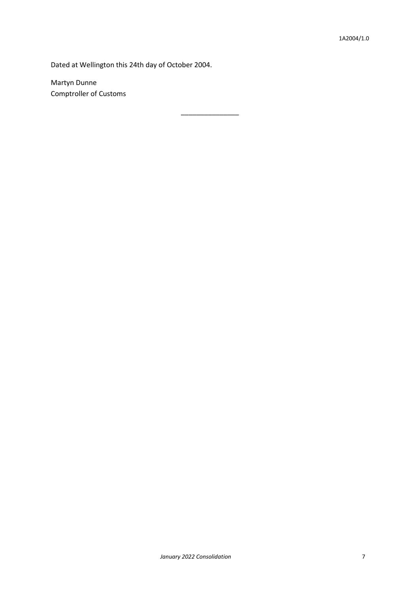Dated at Wellington this 24th day of October 2004.

\_\_\_\_\_\_\_\_\_\_\_\_\_\_\_

Martyn Dunne Comptroller of Customs